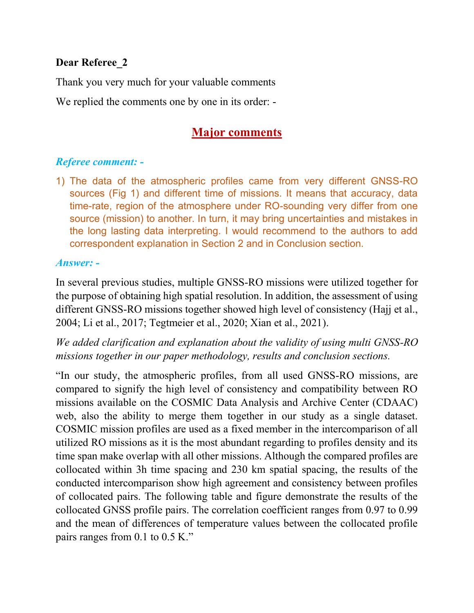## **Dear Referee\_2**

Thank you very much for your valuable comments

We replied the comments one by one in its order: -

# **Major comments**

## *Referee comment: -*

1) The data of the atmospheric profiles came from very different GNSS-RO sources (Fig 1) and different time of missions. It means that accuracy, data time-rate, region of the atmosphere under RO-sounding very differ from one source (mission) to another. In turn, it may bring uncertainties and mistakes in the long lasting data interpreting. I would recommend to the authors to add correspondent explanation in Section 2 and in Conclusion section.

#### *Answer: -*

In several previous studies, multiple GNSS-RO missions were utilized together for the purpose of obtaining high spatial resolution. In addition, the assessment of using different GNSS-RO missions together showed high level of consistency (Hajj et al., 2004; Li et al., 2017; Tegtmeier et al., 2020; Xian et al., 2021).

*We added clarification and explanation about the validity of using multi GNSS-RO missions together in our paper methodology, results and conclusion sections.* 

"In our study, the atmospheric profiles, from all used GNSS-RO missions, are compared to signify the high level of consistency and compatibility between RO missions available on the COSMIC Data Analysis and Archive Center (CDAAC) web, also the ability to merge them together in our study as a single dataset. COSMIC mission profiles are used as a fixed member in the intercomparison of all utilized RO missions as it is the most abundant regarding to profiles density and its time span make overlap with all other missions. Although the compared profiles are collocated within 3h time spacing and 230 km spatial spacing, the results of the conducted intercomparison show high agreement and consistency between profiles of collocated pairs. The following table and figure demonstrate the results of the collocated GNSS profile pairs. The correlation coefficient ranges from 0.97 to 0.99 and the mean of differences of temperature values between the collocated profile pairs ranges from 0.1 to 0.5 K."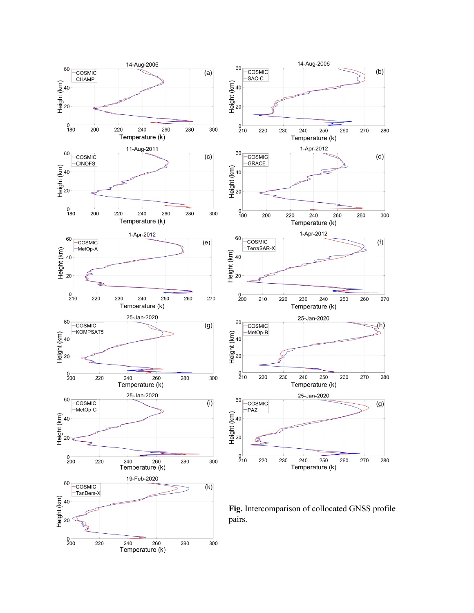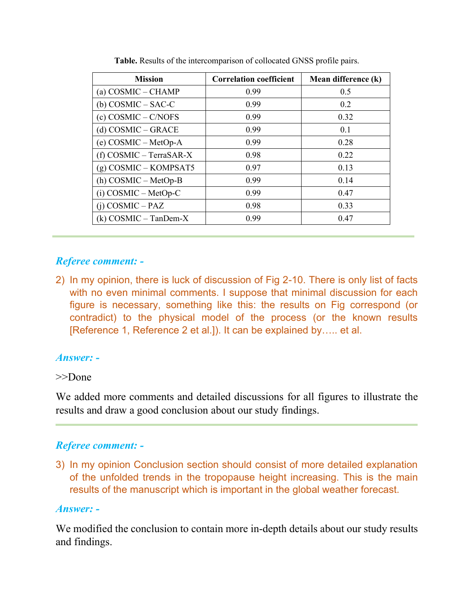| <b>Mission</b>            | <b>Correlation coefficient</b> | Mean difference (k) |
|---------------------------|--------------------------------|---------------------|
| (a) COSMIC – CHAMP        | 0.99                           | 0.5                 |
| $(b)$ COSMIC – SAC-C      | 0.99                           | $0.2^{\circ}$       |
| (c) COSMIC – C/NOFS       | 0.99                           | 0.32                |
| (d) COSMIC - GRACE        | 0.99                           | 0.1                 |
| (e) COSMIC - MetOp-A      | 0.99                           | 0.28                |
| $(f)$ COSMIC – TerraSAR-X | 0.98                           | 0.22                |
| $(g)$ COSMIC – KOMPSAT5   | 0.97                           | 0.13                |
| $(h)$ COSMIC – MetOp-B    | 0.99                           | 0.14                |
| $(i)$ COSMIC – MetOp-C    | 0.99                           | 0.47                |
| $(i)$ COSMIC – PAZ        | 0.98                           | 0.33                |
| $(k)$ COSMIC – TanDem-X   | 0.99                           | 0.47                |

**Table.** Results of the intercomparison of collocated GNSS profile pairs.

## *Referee comment: -*

2) In my opinion, there is luck of discussion of Fig 2-10. There is only list of facts with no even minimal comments. I suppose that minimal discussion for each figure is necessary, something like this: the results on Fig correspond (or contradict) to the physical model of the process (or the known results [Reference 1, Reference 2 et al.]). It can be explained by….. et al.

#### *Answer: -*

#### >>Done

We added more comments and detailed discussions for all figures to illustrate the results and draw a good conclusion about our study findings.

# *Referee comment: -*

3) In my opinion Conclusion section should consist of more detailed explanation of the unfolded trends in the tropopause height increasing. This is the main results of the manuscript which is important in the global weather forecast.

#### *Answer: -*

We modified the conclusion to contain more in-depth details about our study results and findings.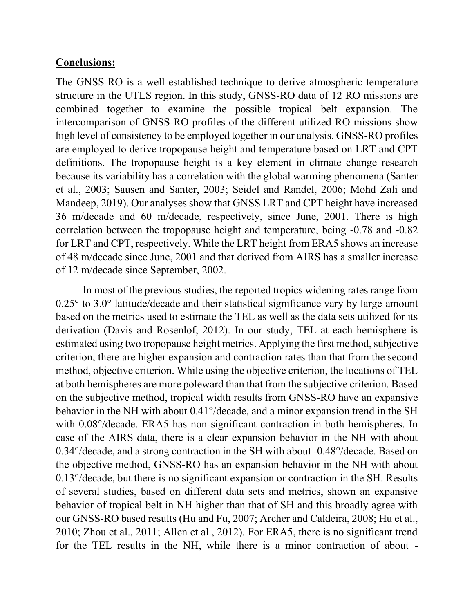#### **Conclusions:**

The GNSS-RO is a well-established technique to derive atmospheric temperature structure in the UTLS region. In this study, GNSS-RO data of 12 RO missions are combined together to examine the possible tropical belt expansion. The intercomparison of GNSS-RO profiles of the different utilized RO missions show high level of consistency to be employed together in our analysis. GNSS-RO profiles are employed to derive tropopause height and temperature based on LRT and CPT definitions. The tropopause height is a key element in climate change research because its variability has a correlation with the global warming phenomena (Santer et al., 2003; Sausen and Santer, 2003; Seidel and Randel, 2006; Mohd Zali and Mandeep, 2019). Our analyses show that GNSS LRT and CPT height have increased 36 m/decade and 60 m/decade, respectively, since June, 2001. There is high correlation between the tropopause height and temperature, being -0.78 and -0.82 for LRT and CPT, respectively. While the LRT height from ERA5 shows an increase of 48 m/decade since June, 2001 and that derived from AIRS has a smaller increase of 12 m/decade since September, 2002.

 In most of the previous studies, the reported tropics widening rates range from  $0.25^{\circ}$  to  $3.0^{\circ}$  latitude/decade and their statistical significance vary by large amount based on the metrics used to estimate the TEL as well as the data sets utilized for its derivation (Davis and Rosenlof, 2012). In our study, TEL at each hemisphere is estimated using two tropopause height metrics. Applying the first method, subjective criterion, there are higher expansion and contraction rates than that from the second method, objective criterion. While using the objective criterion, the locations of TEL at both hemispheres are more poleward than that from the subjective criterion. Based on the subjective method, tropical width results from GNSS-RO have an expansive behavior in the NH with about 0.41°/decade, and a minor expansion trend in the SH with  $0.08^{\circ}/$ decade. ERA5 has non-significant contraction in both hemispheres. In case of the AIRS data, there is a clear expansion behavior in the NH with about 0.34°/decade, and a strong contraction in the SH with about -0.48°/decade. Based on the objective method, GNSS-RO has an expansion behavior in the NH with about 0.13°/decade, but there is no significant expansion or contraction in the SH. Results of several studies, based on different data sets and metrics, shown an expansive behavior of tropical belt in NH higher than that of SH and this broadly agree with our GNSS-RO based results (Hu and Fu, 2007; Archer and Caldeira, 2008; Hu et al., 2010; Zhou et al., 2011; Allen et al., 2012). For ERA5, there is no significant trend for the TEL results in the NH, while there is a minor contraction of about -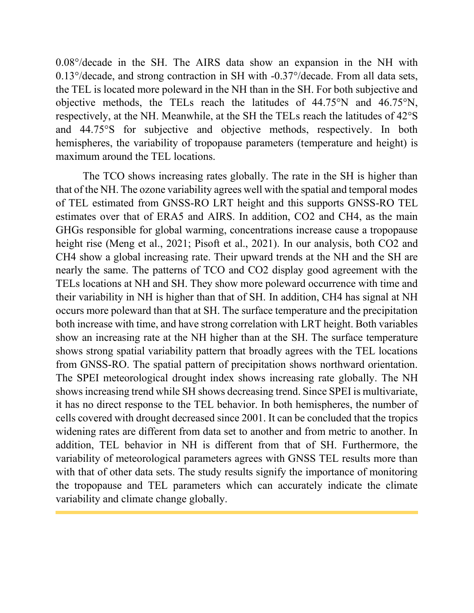0.08°/decade in the SH. The AIRS data show an expansion in the NH with 0.13°/decade, and strong contraction in SH with -0.37°/decade. From all data sets, the TEL is located more poleward in the NH than in the SH. For both subjective and objective methods, the TELs reach the latitudes of 44.75°N and 46.75°N, respectively, at the NH. Meanwhile, at the SH the TELs reach the latitudes of 42°S and 44.75°S for subjective and objective methods, respectively. In both hemispheres, the variability of tropopause parameters (temperature and height) is maximum around the TEL locations.

 The TCO shows increasing rates globally. The rate in the SH is higher than that of the NH. The ozone variability agrees well with the spatial and temporal modes of TEL estimated from GNSS-RO LRT height and this supports GNSS-RO TEL estimates over that of ERA5 and AIRS. In addition, CO2 and CH4, as the main GHGs responsible for global warming, concentrations increase cause a tropopause height rise (Meng et al., 2021; Pisoft et al., 2021). In our analysis, both CO2 and CH4 show a global increasing rate. Their upward trends at the NH and the SH are nearly the same. The patterns of TCO and CO2 display good agreement with the TELs locations at NH and SH. They show more poleward occurrence with time and their variability in NH is higher than that of SH. In addition, CH4 has signal at NH occurs more poleward than that at SH. The surface temperature and the precipitation both increase with time, and have strong correlation with LRT height. Both variables show an increasing rate at the NH higher than at the SH. The surface temperature shows strong spatial variability pattern that broadly agrees with the TEL locations from GNSS-RO. The spatial pattern of precipitation shows northward orientation. The SPEI meteorological drought index shows increasing rate globally. The NH shows increasing trend while SH shows decreasing trend. Since SPEI is multivariate, it has no direct response to the TEL behavior. In both hemispheres, the number of cells covered with drought decreased since 2001. It can be concluded that the tropics widening rates are different from data set to another and from metric to another. In addition, TEL behavior in NH is different from that of SH. Furthermore, the variability of meteorological parameters agrees with GNSS TEL results more than with that of other data sets. The study results signify the importance of monitoring the tropopause and TEL parameters which can accurately indicate the climate variability and climate change globally.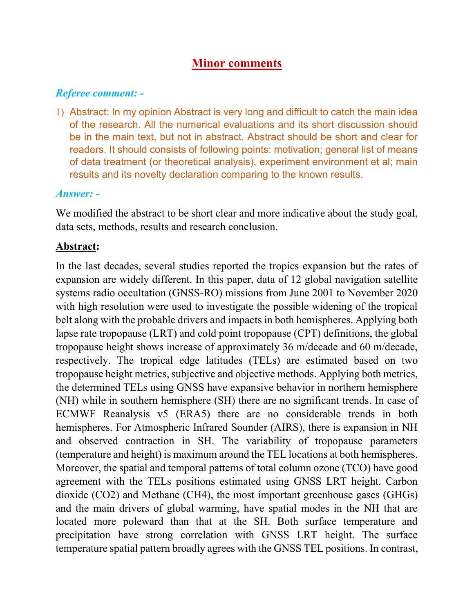# **Minor comments**

# *Referee comment: -*

1) Abstract: In my opinion Abstract is very long and difficult to catch the main idea of the research. All the numerical evaluations and its short discussion should be in the main text, but not in abstract. Abstract should be short and clear for readers. It should consists of following points: motivation; general list of means of data treatment (or theoretical analysis), experiment environment et al; main results and its novelty declaration comparing to the known results.

#### *Answer: -*

We modified the abstract to be short clear and more indicative about the study goal, data sets, methods, results and research conclusion.

## **Abstract:**

In the last decades, several studies reported the tropics expansion but the rates of expansion are widely different. In this paper, data of 12 global navigation satellite systems radio occultation (GNSS-RO) missions from June 2001 to November 2020 with high resolution were used to investigate the possible widening of the tropical belt along with the probable drivers and impacts in both hemispheres. Applying both lapse rate tropopause (LRT) and cold point tropopause (CPT) definitions, the global tropopause height shows increase of approximately 36 m/decade and 60 m/decade, respectively. The tropical edge latitudes (TELs) are estimated based on two tropopause height metrics, subjective and objective methods. Applying both metrics, the determined TELs using GNSS have expansive behavior in northern hemisphere (NH) while in southern hemisphere (SH) there are no significant trends. In case of ECMWF Reanalysis v5 (ERA5) there are no considerable trends in both hemispheres. For Atmospheric Infrared Sounder (AIRS), there is expansion in NH and observed contraction in SH. The variability of tropopause parameters (temperature and height) is maximum around the TEL locations at both hemispheres. Moreover, the spatial and temporal patterns of total column ozone (TCO) have good agreement with the TELs positions estimated using GNSS LRT height. Carbon dioxide (CO2) and Methane (CH4), the most important greenhouse gases (GHGs) and the main drivers of global warming, have spatial modes in the NH that are located more poleward than that at the SH. Both surface temperature and precipitation have strong correlation with GNSS LRT height. The surface temperature spatial pattern broadly agrees with the GNSS TEL positions. In contrast,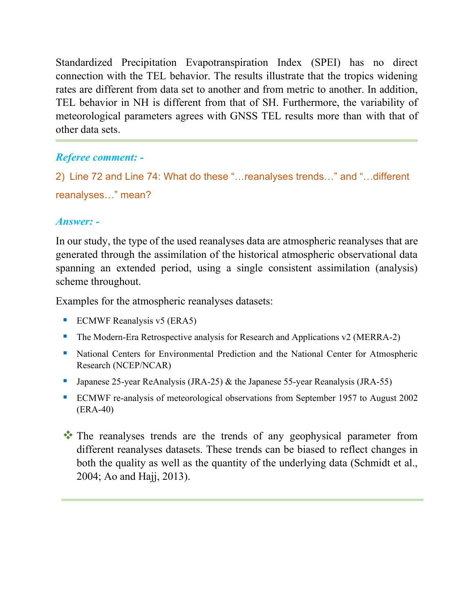Standardized Precipitation Evapotranspiration Index (SPEI) has no direct connection with the TEL behavior. The results illustrate that the tropics widening rates are different from data set to another and from metric to another. In addition, TEL behavior in NH is different from that of SH. Furthermore, the variability of meteorological parameters agrees with GNSS TEL results more than with that of other data sets.

# *Referee comment: -*

```
2) Line 72 and Line 74: What do these "…reanalyses trends…" and "…different
reanalyses…" mean?
```
## *Answer: -*

In our study, the type of the used reanalyses data are atmospheric reanalyses that are generated through the assimilation of the historical atmospheric observational data spanning an extended period, using a single consistent assimilation (analysis) scheme throughout.

Examples for the atmospheric reanalyses datasets:

- $\blacksquare$  ECMWF Reanalysis v5 (ERA5)
- The Modern-Era Retrospective analysis for Research and Applications v2 (MERRA-2)
- **EXECUTE:** National Centers for Environmental Prediction and the National Center for Atmospheric Research (NCEP/NCAR)
- **•** Japanese 25-year ReAnalysis (JRA-25)  $\&$  the Japanese 55-year Reanalysis (JRA-55)
- ECMWF re-analysis of meteorological observations from September 1957 to August 2002 (ERA-40)
- ❖ The reanalyses trends are the trends of any geophysical parameter from different reanalyses datasets. These trends can be biased to reflect changes in both the quality as well as the quantity of the underlying data (Schmidt et al., 2004; Ao and Hajj, 2013).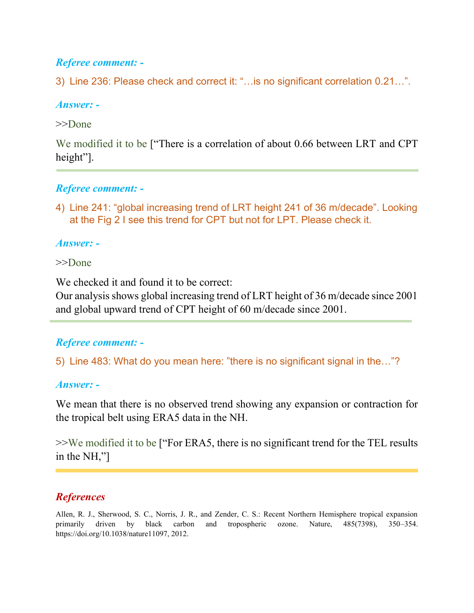# *Referee comment: -*

3) Line 236: Please check and correct it: "…is no significant correlation 0.21…".

#### *Answer: -*

#### >>Done

We modified it to be ["There is a correlation of about 0.66 between LRT and CPT height"].

## *Referee comment: -*

4) Line 241: "global increasing trend of LRT height 241 of 36 m/decade". Looking at the Fig 2 I see this trend for CPT but not for LPT. Please check it.

## *Answer: -*

#### >>Done

We checked it and found it to be correct:

Our analysis shows global increasing trend of LRT height of 36 m/decade since 2001 and global upward trend of CPT height of 60 m/decade since 2001.

# *Referee comment: -*

5) Line 483: What do you mean here: "there is no significant signal in the…"?

#### *Answer: -*

We mean that there is no observed trend showing any expansion or contraction for the tropical belt using ERA5 data in the NH.

>>We modified it to be ["For ERA5, there is no significant trend for the TEL results in the NH,"]

# *References*

Allen, R. J., Sherwood, S. C., Norris, J. R., and Zender, C. S.: Recent Northern Hemisphere tropical expansion primarily driven by black carbon and tropospheric ozone. Nature, 485(7398), 350–354. https://doi.org/10.1038/nature11097, 2012.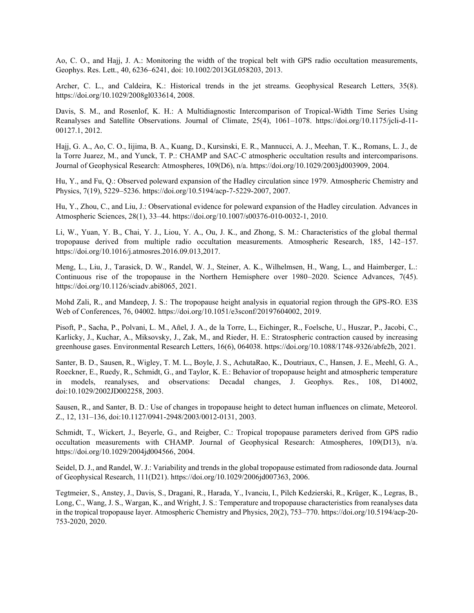Ao, C. O., and Hajj, J. A.: Monitoring the width of the tropical belt with GPS radio occultation measurements, Geophys. Res. Lett., 40, 6236–6241, doi: 10.1002/2013GL058203, 2013.

Archer, C. L., and Caldeira, K.: Historical trends in the jet streams. Geophysical Research Letters, 35(8). https://doi.org/10.1029/2008gl033614, 2008.

Davis, S. M., and Rosenlof, K. H.: A Multidiagnostic Intercomparison of Tropical-Width Time Series Using Reanalyses and Satellite Observations. Journal of Climate, 25(4), 1061–1078. https://doi.org/10.1175/jcli-d-11- 00127.1, 2012.

Hajj, G. A., Ao, C. O., Iijima, B. A., Kuang, D., Kursinski, E. R., Mannucci, A. J., Meehan, T. K., Romans, L. J., de la Torre Juarez, M., and Yunck, T. P.: CHAMP and SAC-C atmospheric occultation results and intercomparisons. Journal of Geophysical Research: Atmospheres, 109(D6), n/a. [https://doi.org/10.1029/2003jd003909,](https://doi.org/10.1029/2003jd003909) 2004.

Hu, Y., and Fu, Q.: Observed poleward expansion of the Hadley circulation since 1979. Atmospheric Chemistry and Physics, 7(19), 5229–5236. https://doi.org/10.5194/acp-7-5229-2007, 2007.

Hu, Y., Zhou, C., and Liu, J.: Observational evidence for poleward expansion of the Hadley circulation. Advances in Atmospheric Sciences, 28(1), 33–44. https://doi.org/10.1007/s00376-010-0032-1, 2010.

Li, W., Yuan, Y. B., Chai, Y. J., Liou, Y. A., Ou, J. K., and Zhong, S. M.: Characteristics of the global thermal tropopause derived from multiple radio occultation measurements. Atmospheric Research, 185, 142–157. https://doi.org/10.1016/j.atmosres.2016.09.013,2017.

Meng, L., Liu, J., Tarasick, D. W., Randel, W. J., Steiner, A. K., Wilhelmsen, H., Wang, L., and Haimberger, L.: Continuous rise of the tropopause in the Northern Hemisphere over 1980–2020. Science Advances, 7(45). https://doi.org/10.1126/sciadv.abi8065, 2021.

Mohd Zali, R., and Mandeep, J. S.: The tropopause height analysis in equatorial region through the GPS-RO. E3S Web of Conferences, 76, 04002. [https://doi.org/10.1051/e3sconf/20197604002,](https://doi.org/10.1051/e3sconf/20197604002) 2019.

Pisoft, P., Sacha, P., Polvani, L. M., Añel, J. A., de la Torre, L., Eichinger, R., Foelsche, U., Huszar, P., Jacobi, C., Karlicky, J., Kuchar, A., Miksovsky, J., Zak, M., and Rieder, H. E.: Stratospheric contraction caused by increasing greenhouse gases. Environmental Research Letters, 16(6), 064038. https://doi.org/10.1088/1748-9326/abfe2b, 2021.

Santer, B. D., Sausen, R., Wigley, T. M. L., Boyle, J. S., AchutaRao, K., Doutriaux, C., Hansen, J. E., Meehl, G. A., Roeckner, E., Ruedy, R., Schmidt, G., and Taylor, K. E.: Behavior of tropopause height and atmospheric temperature in models, reanalyses, and observations: Decadal changes, J. Geophys. Res., 108, D14002, doi:10.1029/2002JD002258, 2003.

Sausen, R., and Santer, B. D.: Use of changes in tropopause height to detect human influences on climate, Meteorol. Z., 12, 131–136, doi:10.1127/0941-2948/2003/0012-0131, 2003.

Schmidt, T., Wickert, J., Beyerle, G., and Reigber, C.: Tropical tropopause parameters derived from GPS radio occultation measurements with CHAMP. Journal of Geophysical Research: Atmospheres, 109(D13), n/a. [https://doi.org/10.1029/2004jd004566,](https://doi.org/10.1029/2004jd004566) 2004.

Seidel, D. J., and Randel, W. J.: Variability and trends in the global tropopause estimated from radiosonde data. Journal of Geophysical Research, 111(D21). https://doi.org/10.1029/2006jd007363, 2006.

Tegtmeier, S., Anstey, J., Davis, S., Dragani, R., Harada, Y., Ivanciu, I., Pilch Kedzierski, R., Krüger, K., Legras, B., Long, C., Wang, J. S., Wargan, K., and Wright, J. S.: Temperature and tropopause characteristics from reanalyses data in the tropical tropopause layer. Atmospheric Chemistry and Physics, 20(2), 753–770. [https://doi.org/10.5194/acp-20-](https://doi.org/10.5194/acp-20-753-2020) [753-2020,](https://doi.org/10.5194/acp-20-753-2020) 2020.